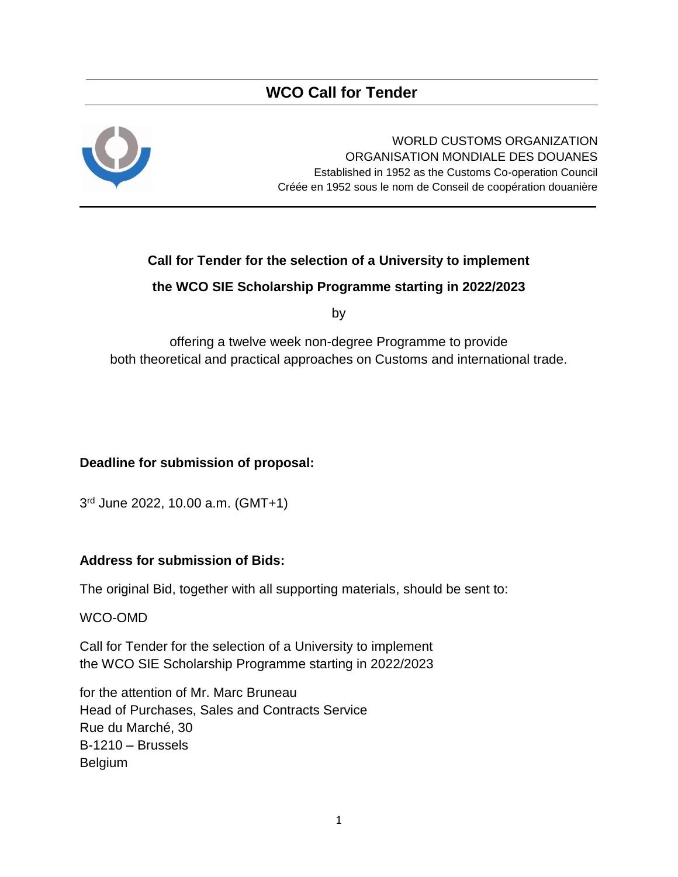## **WCO Call for Tender**



WORLD CUSTOMS ORGANIZATION ORGANISATION MONDIALE DES DOUANES Established in 1952 as the Customs Co-operation Council Créée en 1952 sous le nom de Conseil de coopération douanière

## **Call for Tender for the selection of a University to implement**

## **the WCO SIE Scholarship Programme starting in 2022/2023**

by

offering a twelve week non-degree Programme to provide both theoretical and practical approaches on Customs and international trade.

## **Deadline for submission of proposal:**

3 rd June 2022, 10.00 a.m. (GMT+1)

## **Address for submission of Bids:**

The original Bid, together with all supporting materials, should be sent to:

WCO-OMD

Call for Tender for the selection of a University to implement the WCO SIE Scholarship Programme starting in 2022/2023

for the attention of Mr. Marc Bruneau Head of Purchases, Sales and Contracts Service Rue du Marché, 30 B-1210 – Brussels Belgium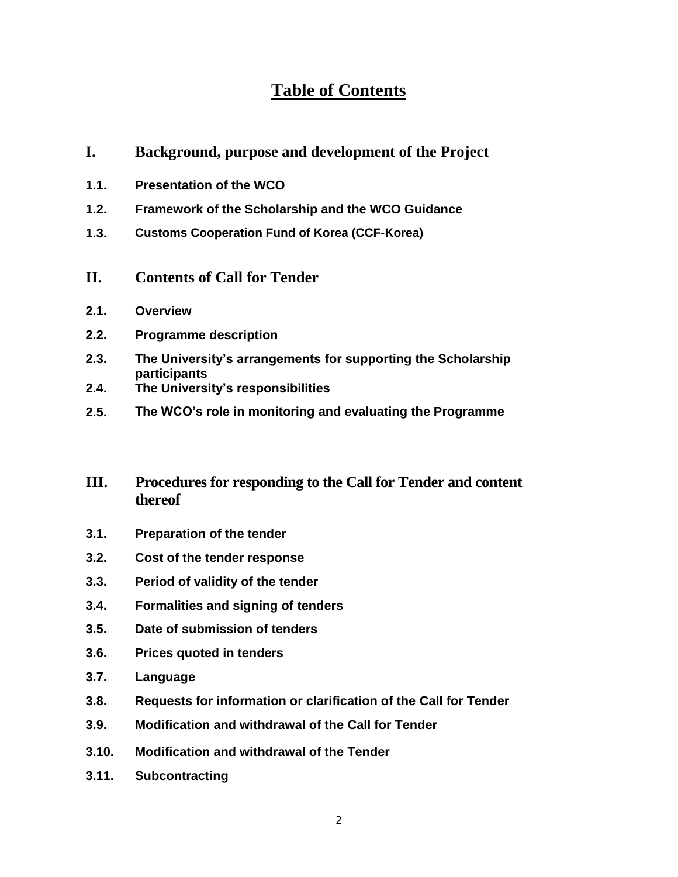# **Table of Contents**

- **I. Background, purpose and development of the Project**
- **1.1. Presentation of the WCO**
- **1.2. Framework of the Scholarship and the WCO Guidance**
- **1.3. Customs Cooperation Fund of Korea (CCF-Korea)**
- **II. Contents of Call for Tender**
- **2.1. Overview**
- **2.2. Programme description**
- **2.3. The University's arrangements for supporting the Scholarship participants**
- **2.4. The University's responsibilities**
- **2.5. The WCO's role in monitoring and evaluating the Programme**
- **III. Procedures for responding to the Call for Tender and content thereof**
- **3.1. Preparation of the tender**
- **3.2. Cost of the tender response**
- **3.3. Period of validity of the tender**
- **3.4. Formalities and signing of tenders**
- **3.5. Date of submission of tenders**
- **3.6. Prices quoted in tenders**
- **3.7. Language**
- **3.8. Requests for information or clarification of the Call for Tender**
- **3.9. Modification and withdrawal of the Call for Tender**
- **3.10. Modification and withdrawal of the Tender**
- **3.11. Subcontracting**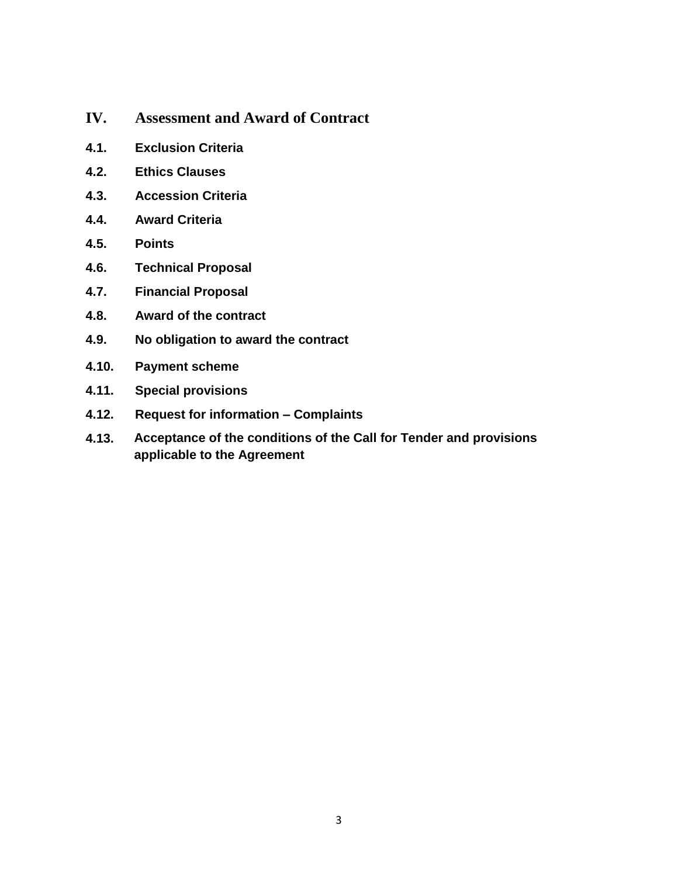- **IV. Assessment and Award of Contract**
- **4.1. Exclusion Criteria**
- **4.2. Ethics Clauses**
- **4.3. Accession Criteria**
- **4.4. Award Criteria**
- **4.5. Points**
- **4.6. Technical Proposal**
- **4.7. Financial Proposal**
- **4.8. Award of the contract**
- **4.9. No obligation to award the contract**
- **4.10. Payment scheme**
- **4.11. Special provisions**
- **4.12. Request for information – Complaints**
- **4.13. Acceptance of the conditions of the Call for Tender and provisions applicable to the Agreement**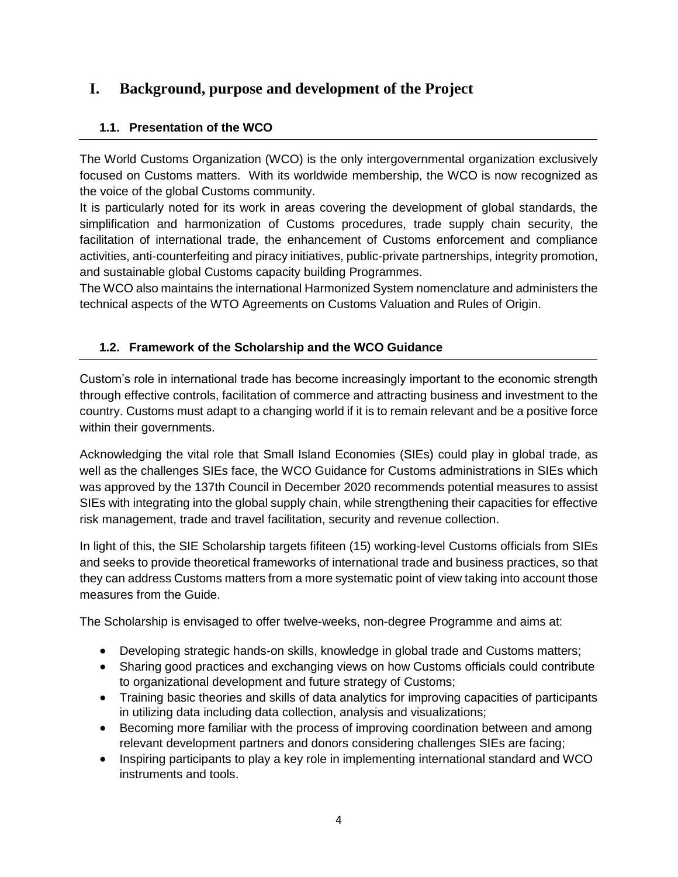## **I. Background, purpose and development of the Project**

## **1.1. Presentation of the WCO**

The World Customs Organization (WCO) is the only intergovernmental organization exclusively focused on Customs matters. With its worldwide membership, the WCO is now recognized as the voice of the global Customs community.

It is particularly noted for its work in areas covering the development of global standards, the simplification and harmonization of Customs procedures, trade supply chain security, the facilitation of international trade, the enhancement of Customs enforcement and compliance activities, anti-counterfeiting and piracy initiatives, public-private partnerships, integrity promotion, and sustainable global Customs capacity building Programmes.

The WCO also maintains the international Harmonized System nomenclature and administers the technical aspects of the WTO Agreements on Customs Valuation and Rules of Origin.

### **1.2. Framework of the Scholarship and the WCO Guidance**

Custom's role in international trade has become increasingly important to the economic strength through effective controls, facilitation of commerce and attracting business and investment to the country. Customs must adapt to a changing world if it is to remain relevant and be a positive force within their governments.

Acknowledging the vital role that Small Island Economies (SIEs) could play in global trade, as well as the challenges SIEs face, the WCO Guidance for Customs administrations in SIEs which was approved by the 137th Council in December 2020 recommends potential measures to assist SIEs with integrating into the global supply chain, while strengthening their capacities for effective risk management, trade and travel facilitation, security and revenue collection.

In light of this, the SIE Scholarship targets fifiteen (15) working-level Customs officials from SIEs and seeks to provide theoretical frameworks of international trade and business practices, so that they can address Customs matters from a more systematic point of view taking into account those measures from the Guide.

The Scholarship is envisaged to offer twelve-weeks, non-degree Programme and aims at:

- Developing strategic hands-on skills, knowledge in global trade and Customs matters;
- Sharing good practices and exchanging views on how Customs officials could contribute to organizational development and future strategy of Customs;
- Training basic theories and skills of data analytics for improving capacities of participants in utilizing data including data collection, analysis and visualizations;
- Becoming more familiar with the process of improving coordination between and among relevant development partners and donors considering challenges SIEs are facing;
- Inspiring participants to play a key role in implementing international standard and WCO instruments and tools.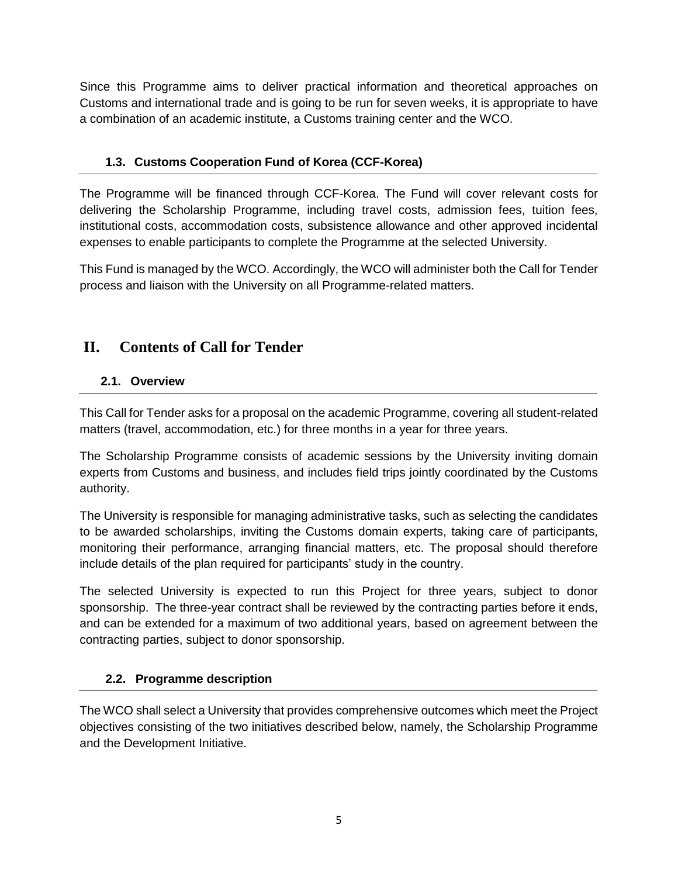Since this Programme aims to deliver practical information and theoretical approaches on Customs and international trade and is going to be run for seven weeks, it is appropriate to have a combination of an academic institute, a Customs training center and the WCO.

## **1.3. Customs Cooperation Fund of Korea (CCF-Korea)**

The Programme will be financed through CCF-Korea. The Fund will cover relevant costs for delivering the Scholarship Programme, including travel costs, admission fees, tuition fees, institutional costs, accommodation costs, subsistence allowance and other approved incidental expenses to enable participants to complete the Programme at the selected University.

This Fund is managed by the WCO. Accordingly, the WCO will administer both the Call for Tender process and liaison with the University on all Programme-related matters.

## **II. Contents of Call for Tender**

## **2.1. Overview**

This Call for Tender asks for a proposal on the academic Programme, covering all student-related matters (travel, accommodation, etc.) for three months in a year for three years.

The Scholarship Programme consists of academic sessions by the University inviting domain experts from Customs and business, and includes field trips jointly coordinated by the Customs authority.

The University is responsible for managing administrative tasks, such as selecting the candidates to be awarded scholarships, inviting the Customs domain experts, taking care of participants, monitoring their performance, arranging financial matters, etc. The proposal should therefore include details of the plan required for participants' study in the country.

The selected University is expected to run this Project for three years, subject to donor sponsorship. The three-year contract shall be reviewed by the contracting parties before it ends, and can be extended for a maximum of two additional years, based on agreement between the contracting parties, subject to donor sponsorship.

## **2.2. Programme description**

The WCO shall select a University that provides comprehensive outcomes which meet the Project objectives consisting of the two initiatives described below, namely, the Scholarship Programme and the Development Initiative.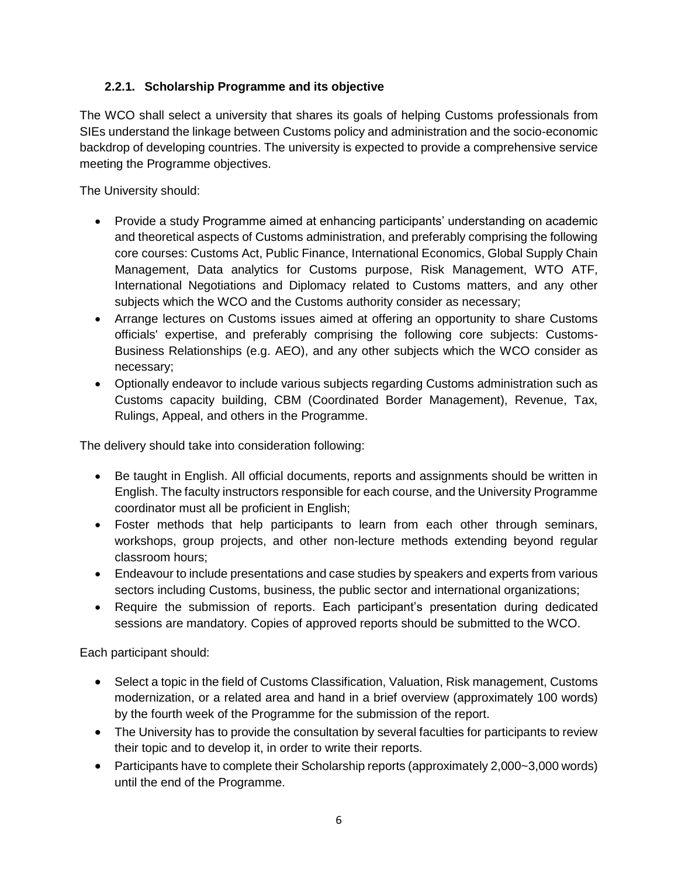### **2.2.1. Scholarship Programme and its objective**

The WCO shall select a university that shares its goals of helping Customs professionals from SIEs understand the linkage between Customs policy and administration and the socio-economic backdrop of developing countries. The university is expected to provide a comprehensive service meeting the Programme objectives.

The University should:

- Provide a study Programme aimed at enhancing participants' understanding on academic and theoretical aspects of Customs administration, and preferably comprising the following core courses: Customs Act, Public Finance, International Economics, Global Supply Chain Management, Data analytics for Customs purpose, Risk Management, WTO ATF, International Negotiations and Diplomacy related to Customs matters, and any other subjects which the WCO and the Customs authority consider as necessary;
- Arrange lectures on Customs issues aimed at offering an opportunity to share Customs officials' expertise, and preferably comprising the following core subjects: Customs-Business Relationships (e.g. AEO), and any other subjects which the WCO consider as necessary;
- Optionally endeavor to include various subjects regarding Customs administration such as Customs capacity building, CBM (Coordinated Border Management), Revenue, Tax, Rulings, Appeal, and others in the Programme.

The delivery should take into consideration following:

- Be taught in English. All official documents, reports and assignments should be written in English. The faculty instructors responsible for each course, and the University Programme coordinator must all be proficient in English;
- Foster methods that help participants to learn from each other through seminars, workshops, group projects, and other non-lecture methods extending beyond regular classroom hours;
- Endeavour to include presentations and case studies by speakers and experts from various sectors including Customs, business, the public sector and international organizations;
- Require the submission of reports. Each participant's presentation during dedicated sessions are mandatory. Copies of approved reports should be submitted to the WCO.

Each participant should:

- Select a topic in the field of Customs Classification, Valuation, Risk management, Customs modernization, or a related area and hand in a brief overview (approximately 100 words) by the fourth week of the Programme for the submission of the report.
- The University has to provide the consultation by several faculties for participants to review their topic and to develop it, in order to write their reports.
- Participants have to complete their Scholarship reports (approximately 2,000~3,000 words) until the end of the Programme.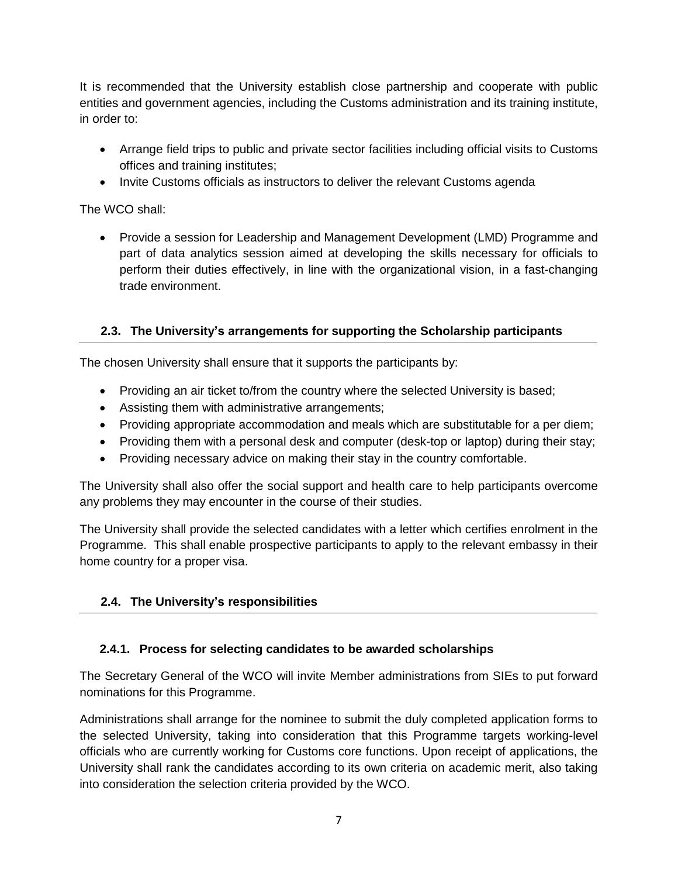It is recommended that the University establish close partnership and cooperate with public entities and government agencies, including the Customs administration and its training institute, in order to:

- Arrange field trips to public and private sector facilities including official visits to Customs offices and training institutes;
- Invite Customs officials as instructors to deliver the relevant Customs agenda

The WCO shall:

 Provide a session for Leadership and Management Development (LMD) Programme and part of data analytics session aimed at developing the skills necessary for officials to perform their duties effectively, in line with the organizational vision, in a fast-changing trade environment.

### **2.3. The University's arrangements for supporting the Scholarship participants**

The chosen University shall ensure that it supports the participants by:

- Providing an air ticket to/from the country where the selected University is based;
- Assisting them with administrative arrangements;
- Providing appropriate accommodation and meals which are substitutable for a per diem;
- Providing them with a personal desk and computer (desk-top or laptop) during their stay;
- Providing necessary advice on making their stay in the country comfortable.

The University shall also offer the social support and health care to help participants overcome any problems they may encounter in the course of their studies.

The University shall provide the selected candidates with a letter which certifies enrolment in the Programme. This shall enable prospective participants to apply to the relevant embassy in their home country for a proper visa.

## **2.4. The University's responsibilities**

#### **2.4.1. Process for selecting candidates to be awarded scholarships**

The Secretary General of the WCO will invite Member administrations from SIEs to put forward nominations for this Programme.

Administrations shall arrange for the nominee to submit the duly completed application forms to the selected University, taking into consideration that this Programme targets working-level officials who are currently working for Customs core functions. Upon receipt of applications, the University shall rank the candidates according to its own criteria on academic merit, also taking into consideration the selection criteria provided by the WCO.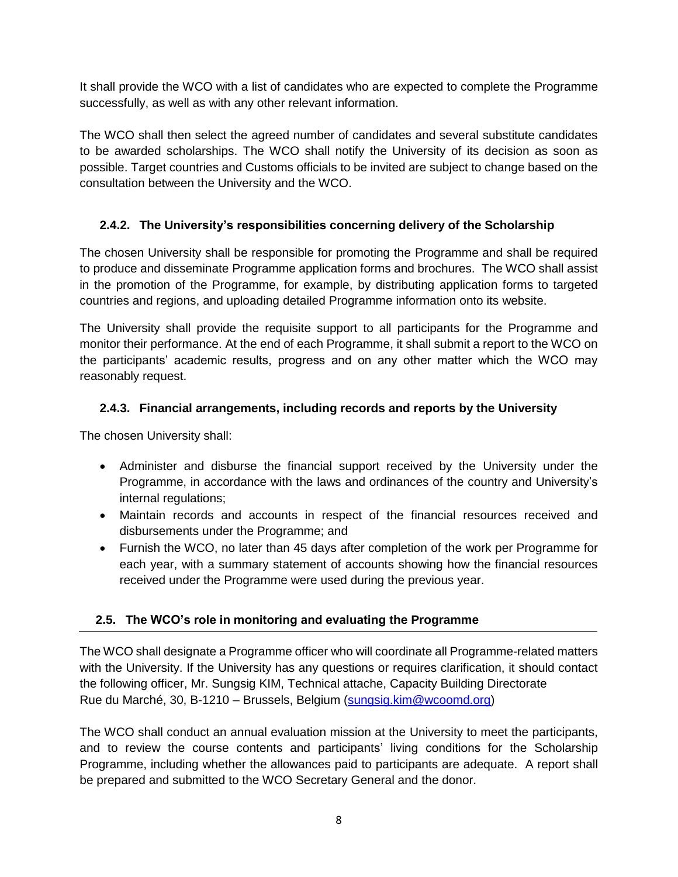It shall provide the WCO with a list of candidates who are expected to complete the Programme successfully, as well as with any other relevant information.

The WCO shall then select the agreed number of candidates and several substitute candidates to be awarded scholarships. The WCO shall notify the University of its decision as soon as possible. Target countries and Customs officials to be invited are subject to change based on the consultation between the University and the WCO.

## **2.4.2. The University's responsibilities concerning delivery of the Scholarship**

The chosen University shall be responsible for promoting the Programme and shall be required to produce and disseminate Programme application forms and brochures. The WCO shall assist in the promotion of the Programme, for example, by distributing application forms to targeted countries and regions, and uploading detailed Programme information onto its website.

The University shall provide the requisite support to all participants for the Programme and monitor their performance. At the end of each Programme, it shall submit a report to the WCO on the participants' academic results, progress and on any other matter which the WCO may reasonably request.

### **2.4.3. Financial arrangements, including records and reports by the University**

The chosen University shall:

- Administer and disburse the financial support received by the University under the Programme, in accordance with the laws and ordinances of the country and University's internal regulations;
- Maintain records and accounts in respect of the financial resources received and disbursements under the Programme; and
- Furnish the WCO, no later than 45 days after completion of the work per Programme for each year, with a summary statement of accounts showing how the financial resources received under the Programme were used during the previous year.

## **2.5. The WCO's role in monitoring and evaluating the Programme**

The WCO shall designate a Programme officer who will coordinate all Programme-related matters with the University. If the University has any questions or requires clarification, it should contact the following officer, Mr. Sungsig KIM, Technical attache, Capacity Building Directorate Rue du Marché, 30, B-1210 – Brussels, Belgium (sungsig.kim@wcoomd.org)

The WCO shall conduct an annual evaluation mission at the University to meet the participants, and to review the course contents and participants' living conditions for the Scholarship Programme, including whether the allowances paid to participants are adequate. A report shall be prepared and submitted to the WCO Secretary General and the donor.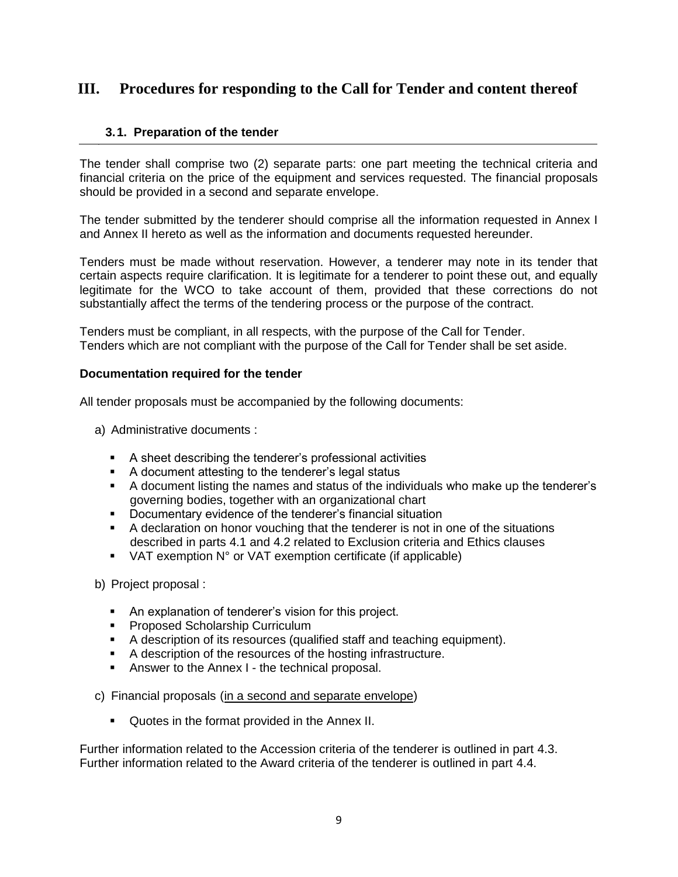## **III. Procedures for responding to the Call for Tender and content thereof**

#### **3.1. Preparation of the tender**

The tender shall comprise two (2) separate parts: one part meeting the technical criteria and financial criteria on the price of the equipment and services requested. The financial proposals should be provided in a second and separate envelope.

The tender submitted by the tenderer should comprise all the information requested in Annex I and Annex II hereto as well as the information and documents requested hereunder.

Tenders must be made without reservation. However, a tenderer may note in its tender that certain aspects require clarification. It is legitimate for a tenderer to point these out, and equally legitimate for the WCO to take account of them, provided that these corrections do not substantially affect the terms of the tendering process or the purpose of the contract.

Tenders must be compliant, in all respects, with the purpose of the Call for Tender. Tenders which are not compliant with the purpose of the Call for Tender shall be set aside.

#### **Documentation required for the tender**

All tender proposals must be accompanied by the following documents:

- a) Administrative documents :
	- A sheet describing the tenderer's professional activities
	- A document attesting to the tenderer's legal status
	- A document listing the names and status of the individuals who make up the tenderer's governing bodies, together with an organizational chart
	- **Documentary evidence of the tenderer's financial situation**
	- A declaration on honor vouching that the tenderer is not in one of the situations described in parts 4.1 and 4.2 related to Exclusion criteria and Ethics clauses
	- VAT exemption N° or VAT exemption certificate (if applicable)

b) Project proposal :

- An explanation of tenderer's vision for this project.
- **Proposed Scholarship Curriculum**
- A description of its resources (qualified staff and teaching equipment).
- A description of the resources of the hosting infrastructure.
- **Answer to the Annex I the technical proposal.**
- c) Financial proposals (in a second and separate envelope)
	- Quotes in the format provided in the Annex II.

Further information related to the Accession criteria of the tenderer is outlined in part 4.3. Further information related to the Award criteria of the tenderer is outlined in part 4.4.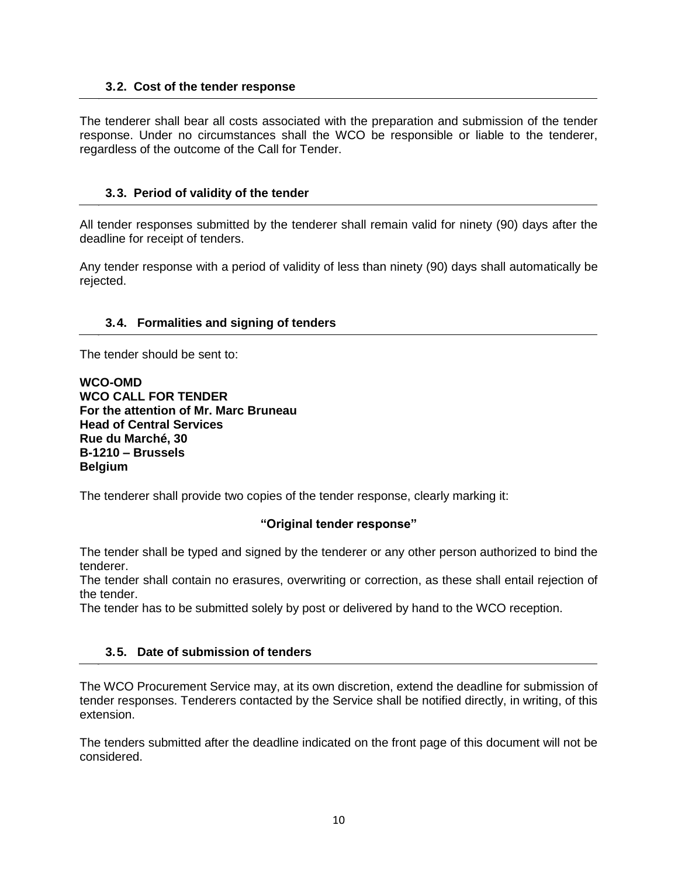#### **3.2. Cost of the tender response**

The tenderer shall bear all costs associated with the preparation and submission of the tender response. Under no circumstances shall the WCO be responsible or liable to the tenderer, regardless of the outcome of the Call for Tender.

#### **3.3. Period of validity of the tender**

All tender responses submitted by the tenderer shall remain valid for ninety (90) days after the deadline for receipt of tenders.

Any tender response with a period of validity of less than ninety (90) days shall automatically be rejected.

#### **3.4. Formalities and signing of tenders**

The tender should be sent to:

**WCO-OMD WCO CALL FOR TENDER For the attention of Mr. Marc Bruneau Head of Central Services Rue du Marché, 30 B-1210 – Brussels Belgium**

The tenderer shall provide two copies of the tender response, clearly marking it:

#### **"Original tender response"**

The tender shall be typed and signed by the tenderer or any other person authorized to bind the tenderer.

The tender shall contain no erasures, overwriting or correction, as these shall entail rejection of the tender.

The tender has to be submitted solely by post or delivered by hand to the WCO reception.

#### **3.5. Date of submission of tenders**

The WCO Procurement Service may, at its own discretion, extend the deadline for submission of tender responses. Tenderers contacted by the Service shall be notified directly, in writing, of this extension.

The tenders submitted after the deadline indicated on the front page of this document will not be considered.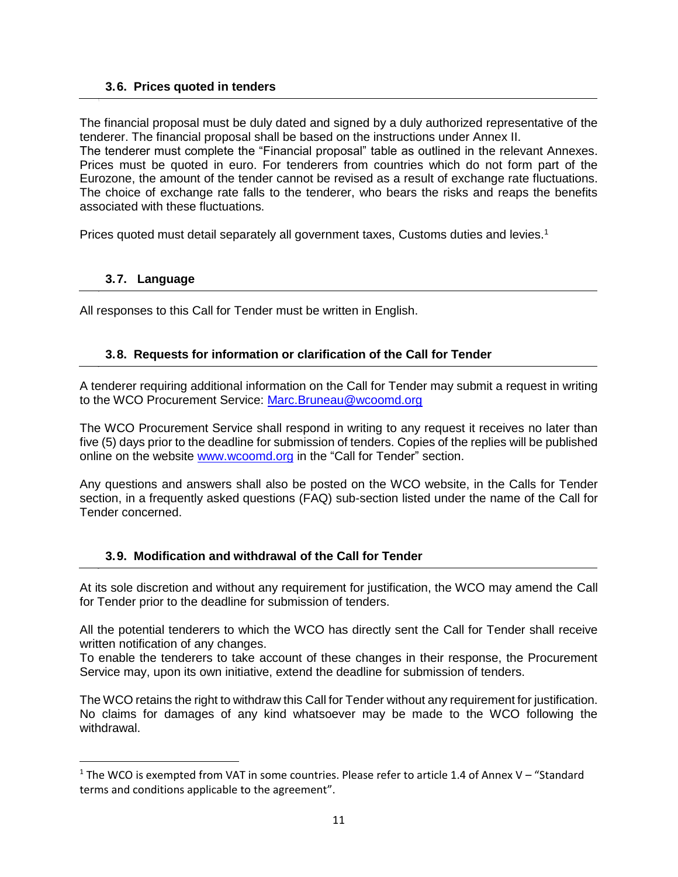#### **3.6. Prices quoted in tenders**

The financial proposal must be duly dated and signed by a duly authorized representative of the tenderer. The financial proposal shall be based on the instructions under Annex II. The tenderer must complete the "Financial proposal" table as outlined in the relevant Annexes. Prices must be quoted in euro. For tenderers from countries which do not form part of the Eurozone, the amount of the tender cannot be revised as a result of exchange rate fluctuations. The choice of exchange rate falls to the tenderer, who bears the risks and reaps the benefits associated with these fluctuations.

Prices quoted must detail separately all government taxes, Customs duties and levies.<sup>1</sup>

#### **3.7. Language**

 $\overline{\phantom{a}}$ 

All responses to this Call for Tender must be written in English.

#### **3.8. Requests for information or clarification of the Call for Tender**

A tenderer requiring additional information on the Call for Tender may submit a request in writing to the WCO Procurement Service: [Marc.Bruneau@wcoomd.org](mailto:Marc.Bruneau@wcoomd.org)

The WCO Procurement Service shall respond in writing to any request it receives no later than five (5) days prior to the deadline for submission of tenders. Copies of the replies will be published online on the website [www.wcoomd.org](http://www.wcoomd.org/) in the "Call for Tender" section.

Any questions and answers shall also be posted on the WCO website, in the Calls for Tender section, in a frequently asked questions (FAQ) sub-section listed under the name of the Call for Tender concerned.

#### **3.9. Modification and withdrawal of the Call for Tender**

At its sole discretion and without any requirement for justification, the WCO may amend the Call for Tender prior to the deadline for submission of tenders.

All the potential tenderers to which the WCO has directly sent the Call for Tender shall receive written notification of any changes.

To enable the tenderers to take account of these changes in their response, the Procurement Service may, upon its own initiative, extend the deadline for submission of tenders.

The WCO retains the right to withdraw this Call for Tender without any requirement for justification. No claims for damages of any kind whatsoever may be made to the WCO following the withdrawal.

<sup>1</sup> The WCO is exempted from VAT in some countries. Please refer to article 1.4 of Annex V – "Standard terms and conditions applicable to the agreement".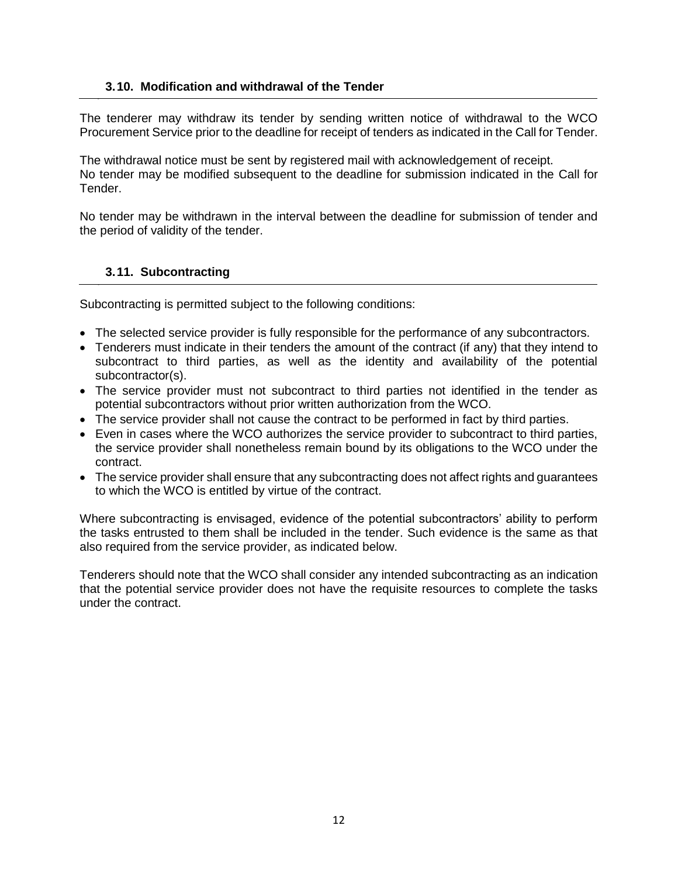#### **3.10. Modification and withdrawal of the Tender**

The tenderer may withdraw its tender by sending written notice of withdrawal to the WCO Procurement Service prior to the deadline for receipt of tenders as indicated in the Call for Tender.

The withdrawal notice must be sent by registered mail with acknowledgement of receipt. No tender may be modified subsequent to the deadline for submission indicated in the Call for Tender.

No tender may be withdrawn in the interval between the deadline for submission of tender and the period of validity of the tender.

#### **3.11. Subcontracting**

Subcontracting is permitted subject to the following conditions:

- The selected service provider is fully responsible for the performance of any subcontractors.
- Tenderers must indicate in their tenders the amount of the contract (if any) that they intend to subcontract to third parties, as well as the identity and availability of the potential subcontractor(s).
- The service provider must not subcontract to third parties not identified in the tender as potential subcontractors without prior written authorization from the WCO.
- The service provider shall not cause the contract to be performed in fact by third parties.
- Even in cases where the WCO authorizes the service provider to subcontract to third parties, the service provider shall nonetheless remain bound by its obligations to the WCO under the contract.
- The service provider shall ensure that any subcontracting does not affect rights and guarantees to which the WCO is entitled by virtue of the contract.

Where subcontracting is envisaged, evidence of the potential subcontractors' ability to perform the tasks entrusted to them shall be included in the tender. Such evidence is the same as that also required from the service provider, as indicated below.

Tenderers should note that the WCO shall consider any intended subcontracting as an indication that the potential service provider does not have the requisite resources to complete the tasks under the contract.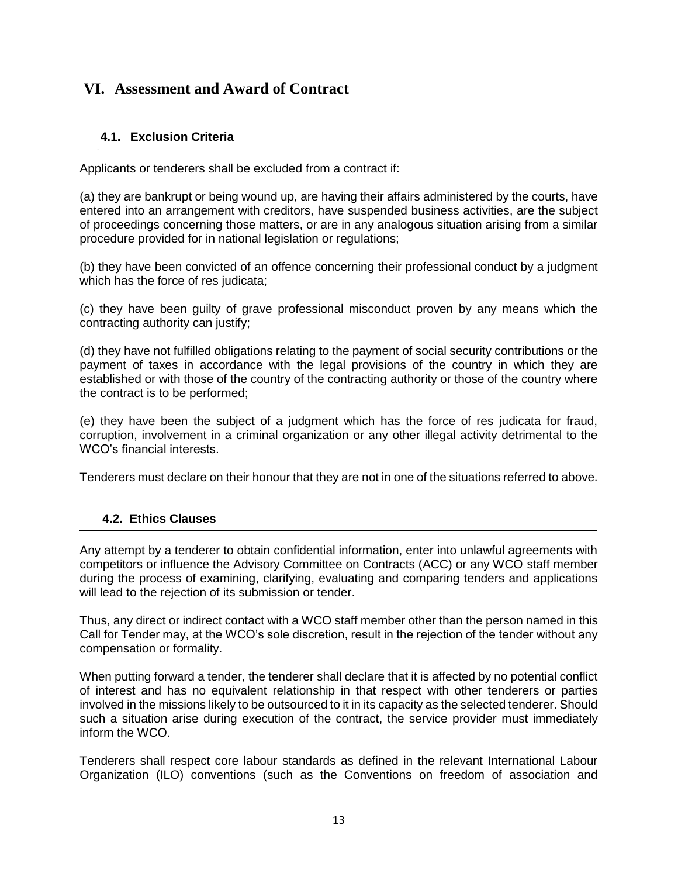## **VI. Assessment and Award of Contract**

### **4.1. Exclusion Criteria**

Applicants or tenderers shall be excluded from a contract if:

(a) they are bankrupt or being wound up, are having their affairs administered by the courts, have entered into an arrangement with creditors, have suspended business activities, are the subject of proceedings concerning those matters, or are in any analogous situation arising from a similar procedure provided for in national legislation or regulations;

(b) they have been convicted of an offence concerning their professional conduct by a judgment which has the force of res judicata;

(c) they have been guilty of grave professional misconduct proven by any means which the contracting authority can justify;

(d) they have not fulfilled obligations relating to the payment of social security contributions or the payment of taxes in accordance with the legal provisions of the country in which they are established or with those of the country of the contracting authority or those of the country where the contract is to be performed;

(e) they have been the subject of a judgment which has the force of res judicata for fraud, corruption, involvement in a criminal organization or any other illegal activity detrimental to the WCO's financial interests.

Tenderers must declare on their honour that they are not in one of the situations referred to above.

#### **4.2. Ethics Clauses**

Any attempt by a tenderer to obtain confidential information, enter into unlawful agreements with competitors or influence the Advisory Committee on Contracts (ACC) or any WCO staff member during the process of examining, clarifying, evaluating and comparing tenders and applications will lead to the rejection of its submission or tender.

Thus, any direct or indirect contact with a WCO staff member other than the person named in this Call for Tender may, at the WCO's sole discretion, result in the rejection of the tender without any compensation or formality.

When putting forward a tender, the tenderer shall declare that it is affected by no potential conflict of interest and has no equivalent relationship in that respect with other tenderers or parties involved in the missions likely to be outsourced to it in its capacity as the selected tenderer. Should such a situation arise during execution of the contract, the service provider must immediately inform the WCO.

Tenderers shall respect core labour standards as defined in the relevant International Labour Organization (ILO) conventions (such as the Conventions on freedom of association and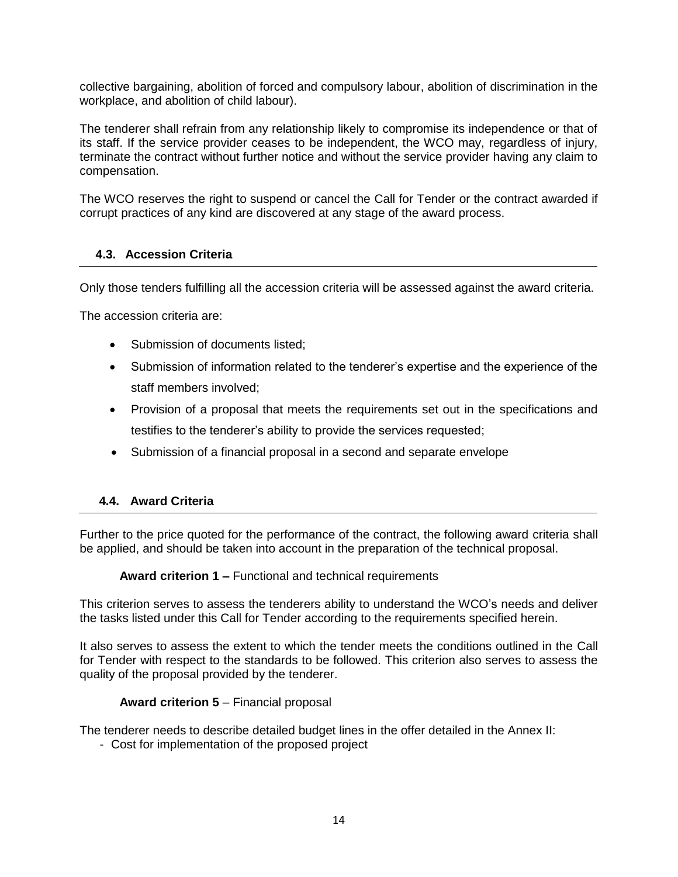collective bargaining, abolition of forced and compulsory labour, abolition of discrimination in the workplace, and abolition of child labour).

The tenderer shall refrain from any relationship likely to compromise its independence or that of its staff. If the service provider ceases to be independent, the WCO may, regardless of injury, terminate the contract without further notice and without the service provider having any claim to compensation.

The WCO reserves the right to suspend or cancel the Call for Tender or the contract awarded if corrupt practices of any kind are discovered at any stage of the award process.

#### **4.3. Accession Criteria**

Only those tenders fulfilling all the accession criteria will be assessed against the award criteria.

The accession criteria are:

- Submission of documents listed:
- Submission of information related to the tenderer's expertise and the experience of the staff members involved;
- Provision of a proposal that meets the requirements set out in the specifications and testifies to the tenderer's ability to provide the services requested;
- Submission of a financial proposal in a second and separate envelope

#### **4.4. Award Criteria**

Further to the price quoted for the performance of the contract, the following award criteria shall be applied, and should be taken into account in the preparation of the technical proposal.

**Award criterion 1 –** Functional and technical requirements

This criterion serves to assess the tenderers ability to understand the WCO's needs and deliver the tasks listed under this Call for Tender according to the requirements specified herein.

It also serves to assess the extent to which the tender meets the conditions outlined in the Call for Tender with respect to the standards to be followed. This criterion also serves to assess the quality of the proposal provided by the tenderer.

#### **Award criterion 5** – Financial proposal

The tenderer needs to describe detailed budget lines in the offer detailed in the Annex II:

- Cost for implementation of the proposed project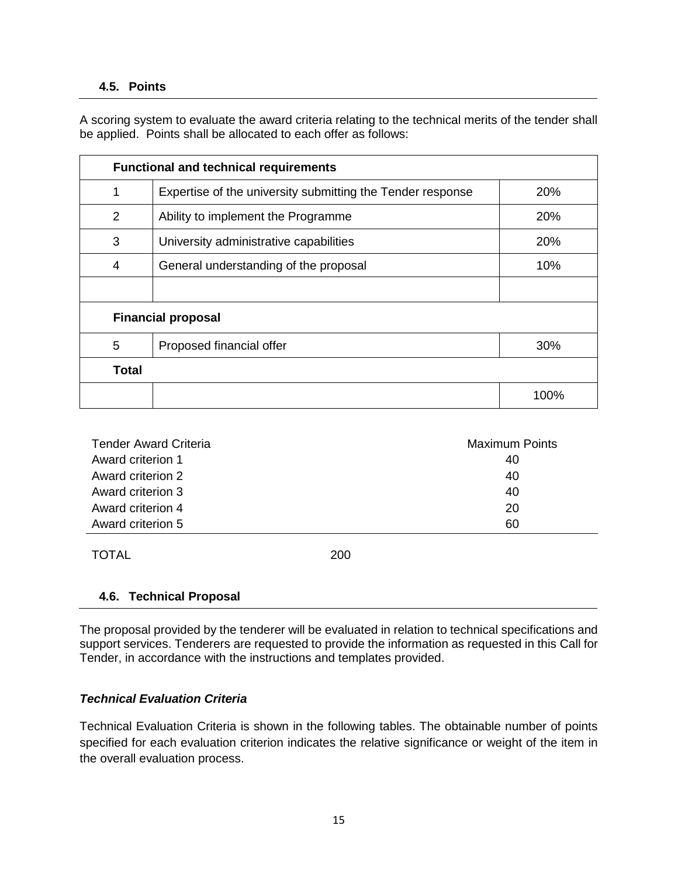#### **4.5. Points**

A scoring system to evaluate the award criteria relating to the technical merits of the tender shall be applied. Points shall be allocated to each offer as follows:

| <b>Functional and technical requirements</b> |                                                            |      |  |  |
|----------------------------------------------|------------------------------------------------------------|------|--|--|
| 1                                            | Expertise of the university submitting the Tender response | 20%  |  |  |
| 2                                            | Ability to implement the Programme                         | 20%  |  |  |
| 3                                            | University administrative capabilities                     | 20%  |  |  |
| 4                                            | General understanding of the proposal                      | 10%  |  |  |
|                                              |                                                            |      |  |  |
| <b>Financial proposal</b>                    |                                                            |      |  |  |
| 5                                            | Proposed financial offer                                   | 30%  |  |  |
| <b>Total</b>                                 |                                                            |      |  |  |
|                                              |                                                            | 100% |  |  |

| <b>Tender Award Criteria</b> | <b>Maximum Points</b> |  |
|------------------------------|-----------------------|--|
| Award criterion 1            | 40                    |  |
| Award criterion 2            | 40                    |  |
| Award criterion 3            | 40                    |  |
| Award criterion 4            | 20                    |  |
| Award criterion 5            | 60                    |  |

TOTAL 200

#### **4.6. Technical Proposal**

The proposal provided by the tenderer will be evaluated in relation to technical specifications and support services. Tenderers are requested to provide the information as requested in this Call for Tender, in accordance with the instructions and templates provided.

#### *Technical Evaluation Criteria*

Technical Evaluation Criteria is shown in the following tables. The obtainable number of points specified for each evaluation criterion indicates the relative significance or weight of the item in the overall evaluation process.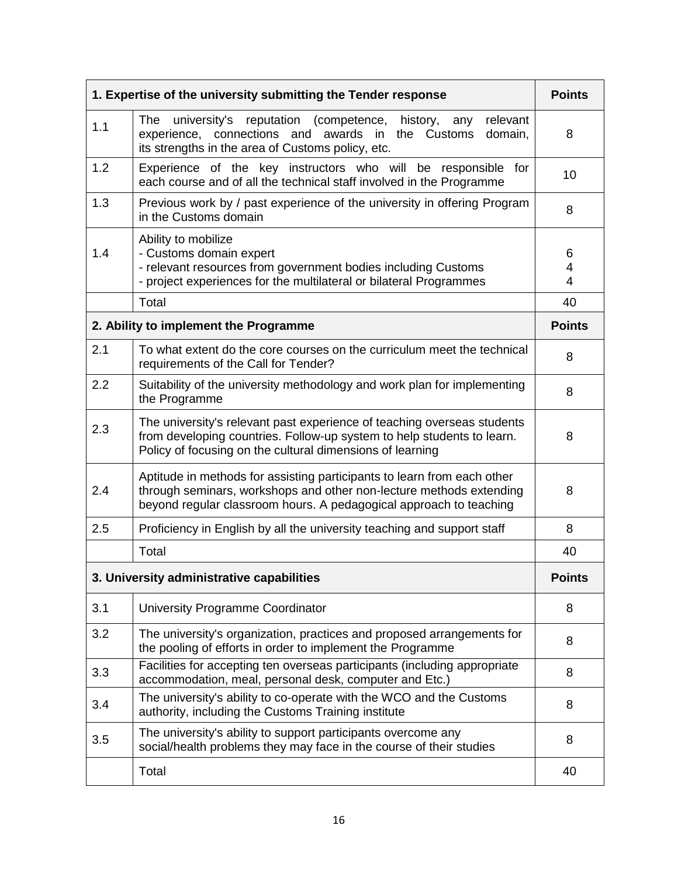| 1. Expertise of the university submitting the Tender response |                                                                                                                                                                                                                      |               |
|---------------------------------------------------------------|----------------------------------------------------------------------------------------------------------------------------------------------------------------------------------------------------------------------|---------------|
| 1.1                                                           | university's reputation (competence, history,<br>relevant<br>The<br>any<br>experience, connections and awards in<br>domain,<br>the Customs<br>its strengths in the area of Customs policy, etc.                      | 8             |
| 1.2                                                           | Experience of the key instructors who will be responsible<br>for<br>each course and of all the technical staff involved in the Programme                                                                             |               |
| 1.3                                                           | Previous work by / past experience of the university in offering Program<br>in the Customs domain                                                                                                                    |               |
| 1.4                                                           | Ability to mobilize<br>- Customs domain expert<br>- relevant resources from government bodies including Customs<br>- project experiences for the multilateral or bilateral Programmes                                |               |
|                                                               | Total                                                                                                                                                                                                                | 40            |
| 2. Ability to implement the Programme                         |                                                                                                                                                                                                                      | <b>Points</b> |
| 2.1                                                           | To what extent do the core courses on the curriculum meet the technical<br>requirements of the Call for Tender?                                                                                                      |               |
| 2.2                                                           | Suitability of the university methodology and work plan for implementing<br>the Programme                                                                                                                            |               |
| 2.3                                                           | The university's relevant past experience of teaching overseas students<br>from developing countries. Follow-up system to help students to learn.<br>Policy of focusing on the cultural dimensions of learning       |               |
| 2.4                                                           | Aptitude in methods for assisting participants to learn from each other<br>through seminars, workshops and other non-lecture methods extending<br>beyond regular classroom hours. A pedagogical approach to teaching |               |
| 2.5                                                           | Proficiency in English by all the university teaching and support staff                                                                                                                                              | 8             |
|                                                               | Total                                                                                                                                                                                                                | 40            |
| 3. University administrative capabilities                     |                                                                                                                                                                                                                      | <b>Points</b> |
| 3.1                                                           | University Programme Coordinator                                                                                                                                                                                     | 8             |
| 3.2                                                           | The university's organization, practices and proposed arrangements for<br>the pooling of efforts in order to implement the Programme                                                                                 | 8             |
| 3.3                                                           | Facilities for accepting ten overseas participants (including appropriate<br>accommodation, meal, personal desk, computer and Etc.)                                                                                  | 8             |
| 3.4                                                           | The university's ability to co-operate with the WCO and the Customs<br>authority, including the Customs Training institute                                                                                           | 8             |
| 3.5                                                           | The university's ability to support participants overcome any<br>social/health problems they may face in the course of their studies                                                                                 |               |
|                                                               | Total                                                                                                                                                                                                                | 40            |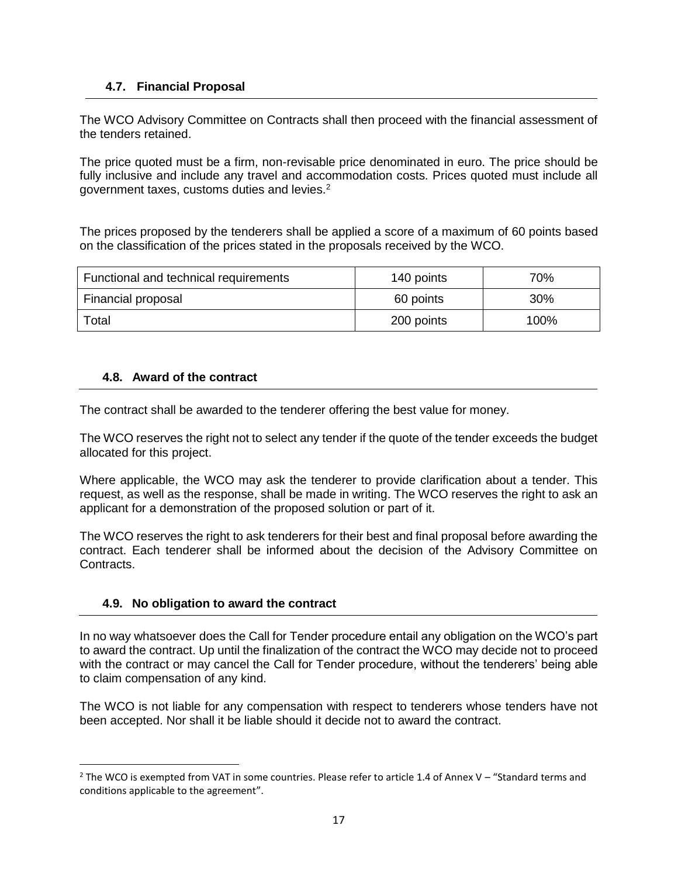#### **4.7. Financial Proposal**

The WCO Advisory Committee on Contracts shall then proceed with the financial assessment of the tenders retained.

The price quoted must be a firm, non-revisable price denominated in euro. The price should be fully inclusive and include any travel and accommodation costs. Prices quoted must include all government taxes, customs duties and levies.<sup>2</sup>

The prices proposed by the tenderers shall be applied a score of a maximum of 60 points based on the classification of the prices stated in the proposals received by the WCO.

| Functional and technical requirements | 140 points | 70%    |
|---------------------------------------|------------|--------|
| Financial proposal                    | 60 points  | $30\%$ |
| Total                                 | 200 points | 100%   |

#### **4.8. Award of the contract**

The contract shall be awarded to the tenderer offering the best value for money.

The WCO reserves the right not to select any tender if the quote of the tender exceeds the budget allocated for this project.

Where applicable, the WCO may ask the tenderer to provide clarification about a tender. This request, as well as the response, shall be made in writing. The WCO reserves the right to ask an applicant for a demonstration of the proposed solution or part of it.

The WCO reserves the right to ask tenderers for their best and final proposal before awarding the contract. Each tenderer shall be informed about the decision of the Advisory Committee on Contracts.

#### **4.9. No obligation to award the contract**

l

In no way whatsoever does the Call for Tender procedure entail any obligation on the WCO's part to award the contract. Up until the finalization of the contract the WCO may decide not to proceed with the contract or may cancel the Call for Tender procedure, without the tenderers' being able to claim compensation of any kind.

The WCO is not liable for any compensation with respect to tenderers whose tenders have not been accepted. Nor shall it be liable should it decide not to award the contract.

 $2$  The WCO is exempted from VAT in some countries. Please refer to article 1.4 of Annex V – "Standard terms and conditions applicable to the agreement".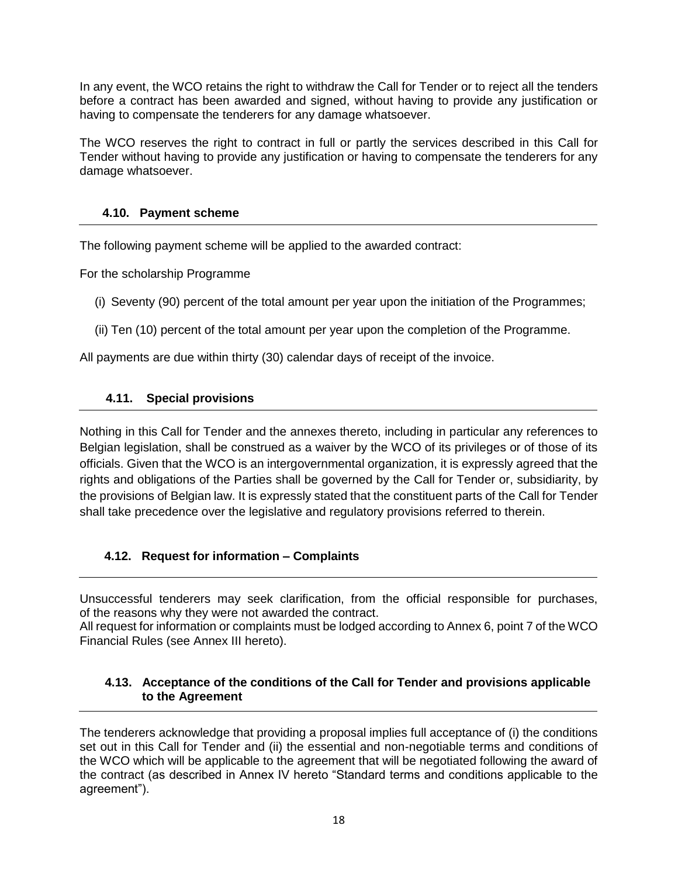In any event, the WCO retains the right to withdraw the Call for Tender or to reject all the tenders before a contract has been awarded and signed, without having to provide any justification or having to compensate the tenderers for any damage whatsoever.

The WCO reserves the right to contract in full or partly the services described in this Call for Tender without having to provide any justification or having to compensate the tenderers for any damage whatsoever.

#### **4.10. Payment scheme**

The following payment scheme will be applied to the awarded contract:

For the scholarship Programme

- (i) Seventy (90) percent of the total amount per year upon the initiation of the Programmes;
- (ii) Ten (10) percent of the total amount per year upon the completion of the Programme.

All payments are due within thirty (30) calendar days of receipt of the invoice.

#### **4.11. Special provisions**

Nothing in this Call for Tender and the annexes thereto, including in particular any references to Belgian legislation, shall be construed as a waiver by the WCO of its privileges or of those of its officials. Given that the WCO is an intergovernmental organization, it is expressly agreed that the rights and obligations of the Parties shall be governed by the Call for Tender or, subsidiarity, by the provisions of Belgian law. It is expressly stated that the constituent parts of the Call for Tender shall take precedence over the legislative and regulatory provisions referred to therein.

#### **4.12. Request for information – Complaints**

Unsuccessful tenderers may seek clarification, from the official responsible for purchases, of the reasons why they were not awarded the contract.

All request for information or complaints must be lodged according to Annex 6, point 7 of the WCO Financial Rules (see Annex III hereto).

#### **4.13. Acceptance of the conditions of the Call for Tender and provisions applicable to the Agreement**

The tenderers acknowledge that providing a proposal implies full acceptance of (i) the conditions set out in this Call for Tender and (ii) the essential and non-negotiable terms and conditions of the WCO which will be applicable to the agreement that will be negotiated following the award of the contract (as described in Annex IV hereto "Standard terms and conditions applicable to the agreement").